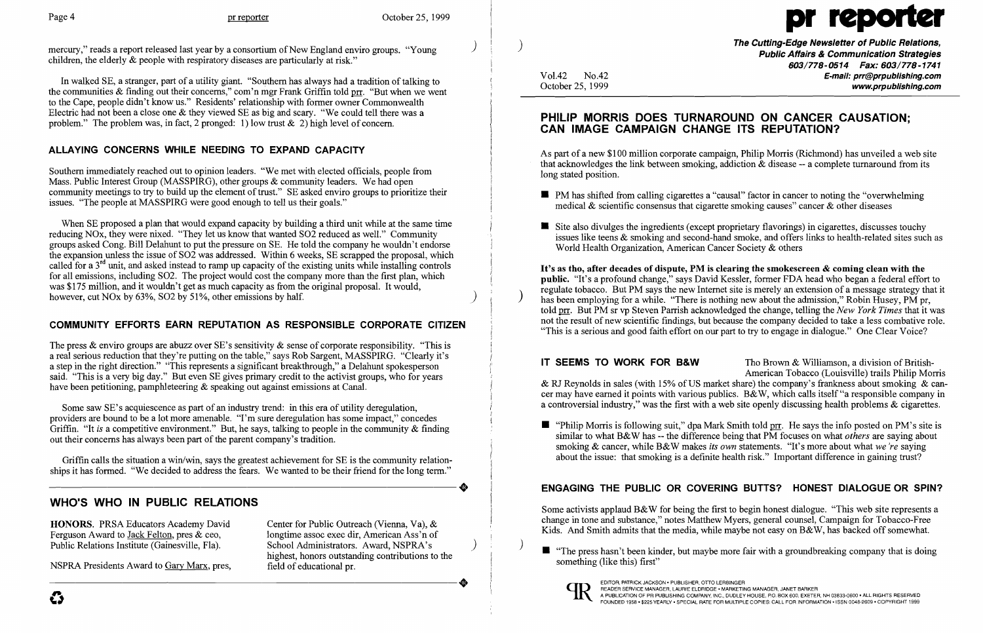mercury," reads a report released last year by a consortium of New England enviro groups. "Young" children, the elderly & people with respiratory diseases are particularly at risk."

In walked SE, a stranger, part of a utility giant. "Southern has always had a tradition of talking to the communities  $\&$  finding out their concerns," com'n mgr Frank Griffin told prr. "But when we went to the Cape, people didn't know us." Residents' relationship with former owner Commonwealth Electric had not been a close one & they viewed SE as big and scary. "We could tell there was a problem." The problem was, in fact, 2 pronged: 1) low trust  $\&$  2) high level of concern.

When SE proposed a plan that would expand capacity by building a third unit while at the same time reducing NOx, they were nixed. "They let us know that wanted S02 reduced as well." Community groups asked Cong. Bill Delahunt to put the pressure on SE. He told the company he wouldn't endorse the expansion unless the issue of S02 was addressed. Within 6 weeks, SE scrapped the proposal, which called for a 3rd unit, and asked instead to ramp up capacity of the existing units while installing controls for all emissions, including S02. The project would cost the company more than the first plan, which was \$175 million, and it wouldn't get as much capacity as from the original proposal. It would, however, cut  $NOx$  by 63%,  $SO2$  by 51%, other emissions by half.

## ALLAYING CONCERNS WHILE NEEDING TO EXPAND CAPACITY

Southern immediately reached out to opinion leaders. "We met with elected officials, people from Mass. Public Interest Group (MASSPIRG), other groups & community leaders. We had open community meetings to try to build up the element of trust." SE asked enviro groups to prioritize their issues. "The people at MASSPIRG were good enough to tell us their goals."

Some saw SE's acquiescence as part of an industry trend: in this era of utility deregulation, providers are bound to be a lot more amenable. "I'm sure deregulation has some impact," concedes Griffin. "It *is* a competitive environment." But, he says, talking to people in the community & finding out their concerns has always been part of the parent company's tradition.

Griffin calls the situation a win/win, says the greatest achievement for SE is the community relation-<br>ships it has formed. "We decided to address the fears. We wanted to be their friend for the long term."<br> ships it has formed. "We decided to address the fears. We wanted to be their friend for the long term."

Center for Public Outreach (Vienna, Va), & longtime assoc exec dir, American Ass'n of School Administrators. Award, NSPRA's ) highest, honors outstanding contributions to the field of educational pr. NSPRA Presidents Award to <u>Gary Marx</u>, pres,<br>
field of educational pr.

As part of a new \$100 million corporate campaign, Philip Morris (Richmond) has unveiled a web site that acknowledges the link between smoking, addiction  $\&$  disease -- a complete turnaround from its

**• PM** has shifted from calling cigarettes a "causal" factor in cancer to noting the "overwhelming"

### COMMUNITY EFFORTS EARN REPUTATION AS RESPONSIBLE CORPORATE CITIZEN

The press  $\&$  enviro groups are abuzz over SE's sensitivity  $\&$  sense of corporate responsibility. "This is a real serious reduction that they're putting on the table," says Rob Sargent, MASSPIRG. "Clearly it's a step in the right direction." "This represents a significant breakthrough," a Delahunt spokesperson said. "This is a very big day." But even SE gives primary credit to the activist groups, who for years have been petitioning, pamphleteering & speaking out against emissions at Canal.

• Site also divulges the ingredients (except proprietary flavorings) in cigarettes, discusses touchy issues like teens & smoking and second-hand smoke, and offers links to health-related sites such as

It's as tho, after decades of dispute, PM is clearing the smokescreen  $\&$  coming clean with the public. "It's a profound change," says David Kessler, former FDA head who began a federal effort to regulate tobacco. But PM says the new Internet site is merely an extension of a message strategy that it has been employing for a while. "There is nothing new about the admission," Robin Husey, PM pr, told mI. But PM sr vp Steven Parrish acknowledged the change, telling the *New York Times* that it was not the result of new scientific findings, but because the company decided to take a less combative role. "This is a serious and good faith effort on our part to try to engage in dialogue." One Clear Voice?

**IT SEEMS TO WORK FOR B&W** Tho Brown & Williamson, a division of British-American Tobacco (Louisville) trails Philip Morris & RJ Reynolds in sales (with 15% of US market share) the company's frankness about smoking & cancer may have earned it points with various publics. B&W, which calls itself "a responsible company in a controversial industry," was the first with a web site openly discussing health problems & cigarettes.

**•** "Philip Morris is following suit," dpa Mark Smith told prr. He says the info posted on PM's site is similar to what B&W has -- the difference being that PM focuses on what *others* are saying about smoking & cancer, while B&W makes *its own* statements. "It's more about what *we're* saying about the issue: that smoking is a definite health risk." Important difference in gaining trust?

Some activists applaud B&W for being the first to begin honest dialogue. "This web site represents a change in tone and substance," notes Matthew Myers, general counsel, Campaign for Tobacco-Free Kids. And Smith admits that the media, while maybe not easy on B&W, has backed off somewhat.

 $\blacksquare$  "The press hasn't been kinder, but maybe more fair with a groundbreaking company that is doing something (like this) first"



# WHO'S WHO IN PUBLIC RELATIONS

HONORS. PRSA Educators Academy David Ferguson Award to Jack Felton, pres & ceo, Public Relations Institute (Gainesville, Fla).

NSPRA Presidents Award to Gary Marx, pres,

Page 4 pr reporter October 25, 1999

V01.42 No.42 October 25, 1999

 $\left( \right)$ 

The Cutting-Edge Newsletter of Public Relations, Public Affairs & Communication Strategies 603/778-0514 Fax: 603/778-1741 E-mail: prr@prpublishing.com www.prpublishing.com

## PHILIP MORRIS DOES TURNAROUND ON CANCER CAUSATION; CAN IMAGE CAMPAIGN CHANGE ITS REPUTATION?

- long stated position.
- medical  $\&$  scientific consensus that cigarette smoking causes" cancer  $\&$  other diseases
- World Health Organization, American Cancer Society & others

## ENGAGING THE PUBLIC OR COVERING BUTTS? HONEST DIALOGUE OR SPIN?

)